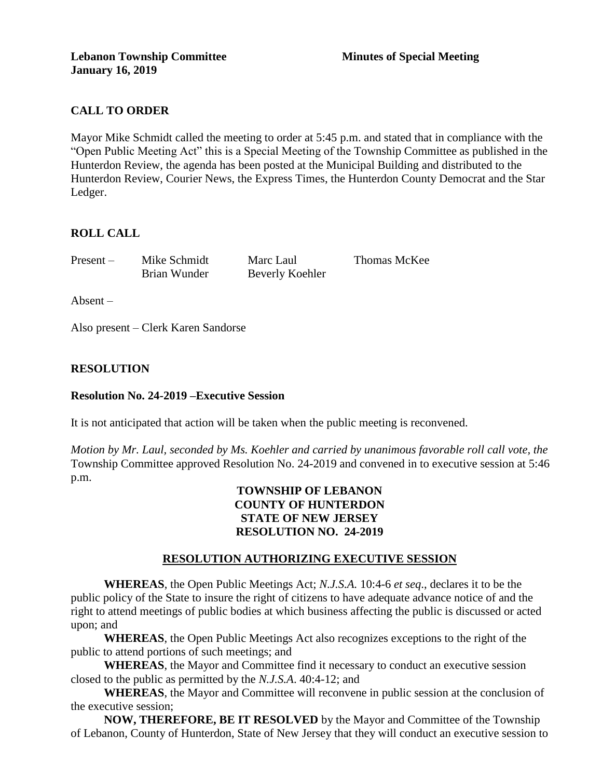# **CALL TO ORDER**

Mayor Mike Schmidt called the meeting to order at 5:45 p.m. and stated that in compliance with the "Open Public Meeting Act" this is a Special Meeting of the Township Committee as published in the Hunterdon Review, the agenda has been posted at the Municipal Building and distributed to the Hunterdon Review, Courier News, the Express Times, the Hunterdon County Democrat and the Star Ledger.

## **ROLL CALL**

Present – Mike Schmidt Marc Laul Thomas McKee

Brian Wunder Beverly Koehler

Absent –

Also present – Clerk Karen Sandorse

## **RESOLUTION**

### **Resolution No. 24-2019 –Executive Session**

It is not anticipated that action will be taken when the public meeting is reconvened.

*Motion by Mr. Laul, seconded by Ms. Koehler and carried by unanimous favorable roll call vote, the* Township Committee approved Resolution No. 24-2019 and convened in to executive session at 5:46 p.m.

## **TOWNSHIP OF LEBANON COUNTY OF HUNTERDON STATE OF NEW JERSEY RESOLUTION NO. 24-2019**

### **RESOLUTION AUTHORIZING EXECUTIVE SESSION**

**WHEREAS**, the Open Public Meetings Act; *N.J.S.A.* 10:4-6 *et seq*., declares it to be the public policy of the State to insure the right of citizens to have adequate advance notice of and the right to attend meetings of public bodies at which business affecting the public is discussed or acted upon; and

**WHEREAS**, the Open Public Meetings Act also recognizes exceptions to the right of the public to attend portions of such meetings; and

**WHEREAS**, the Mayor and Committee find it necessary to conduct an executive session closed to the public as permitted by the *N.J.S.A*. 40:4-12; and

**WHEREAS**, the Mayor and Committee will reconvene in public session at the conclusion of the executive session;

**NOW, THEREFORE, BE IT RESOLVED** by the Mayor and Committee of the Township of Lebanon, County of Hunterdon, State of New Jersey that they will conduct an executive session to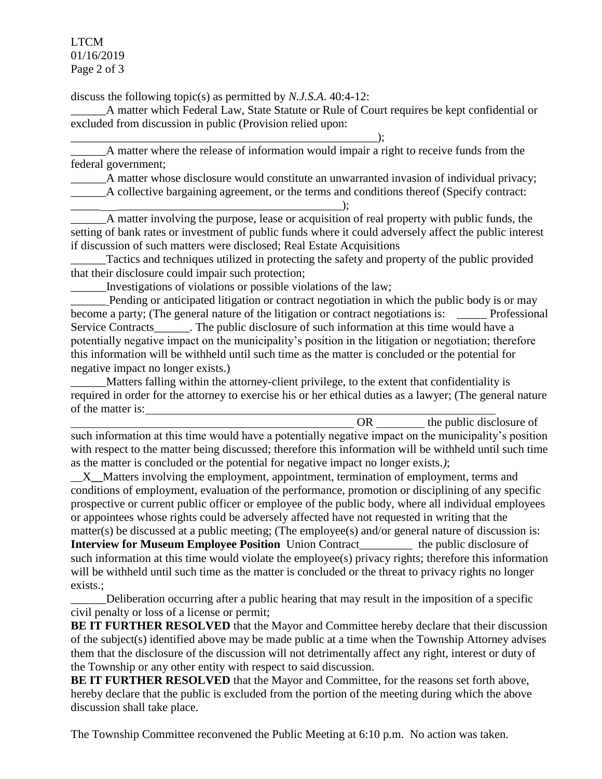LTCM 01/16/2019 Page 2 of 3

discuss the following topic(s) as permitted by *N.J.S.A*. 40:4-12:

\_\_\_\_\_\_A matter which Federal Law, State Statute or Rule of Court requires be kept confidential or excluded from discussion in public (Provision relied upon:

\_\_\_\_\_\_\_\_\_\_\_\_\_\_\_\_\_\_\_\_\_\_\_\_\_\_\_\_\_\_\_\_\_\_\_\_\_\_\_\_\_\_\_\_\_\_\_\_\_\_\_\_); \_\_\_\_\_\_A matter where the release of information would impair a right to receive funds from the federal government;

\_\_\_\_\_\_A matter whose disclosure would constitute an unwarranted invasion of individual privacy;

\_\_\_\_\_\_A collective bargaining agreement, or the terms and conditions thereof (Specify contract: \_\_\_\_\_ \_\_\_\_\_\_\_\_\_\_\_\_\_\_\_\_\_\_\_\_\_\_\_\_\_\_\_\_\_\_\_\_\_\_\_\_\_\_);

\_\_\_\_\_\_A matter involving the purpose, lease or acquisition of real property with public funds, the setting of bank rates or investment of public funds where it could adversely affect the public interest if discussion of such matters were disclosed; Real Estate Acquisitions

Tactics and techniques utilized in protecting the safety and property of the public provided that their disclosure could impair such protection;

\_\_\_\_\_\_Investigations of violations or possible violations of the law;

Pending or anticipated litigation or contract negotiation in which the public body is or may become a party; (The general nature of the litigation or contract negotiations is: \_\_\_\_\_\_\_ Professional Service Contracts\_\_\_\_\_\_. The public disclosure of such information at this time would have a potentially negative impact on the municipality's position in the litigation or negotiation; therefore this information will be withheld until such time as the matter is concluded or the potential for negative impact no longer exists.)

Matters falling within the attorney-client privilege, to the extent that confidentiality is required in order for the attorney to exercise his or her ethical duties as a lawyer; (The general nature of the matter is:

OR the public disclosure of such information at this time would have a potentially negative impact on the municipality's position with respect to the matter being discussed; therefore this information will be withheld until such time as the matter is concluded or the potential for negative impact no longer exists.*)*;

\_\_X**\_\_**Matters involving the employment, appointment, termination of employment, terms and conditions of employment, evaluation of the performance, promotion or disciplining of any specific prospective or current public officer or employee of the public body, where all individual employees or appointees whose rights could be adversely affected have not requested in writing that the matter(s) be discussed at a public meeting; (The employee(s) and/or general nature of discussion is: **Interview for Museum Employee Position** Union Contract\_\_\_\_\_\_\_\_\_ the public disclosure of such information at this time would violate the employee(s) privacy rights; therefore this information will be withheld until such time as the matter is concluded or the threat to privacy rights no longer exists.;

\_\_\_\_\_\_Deliberation occurring after a public hearing that may result in the imposition of a specific civil penalty or loss of a license or permit;

**BE IT FURTHER RESOLVED** that the Mayor and Committee hereby declare that their discussion of the subject(s) identified above may be made public at a time when the Township Attorney advises them that the disclosure of the discussion will not detrimentally affect any right, interest or duty of the Township or any other entity with respect to said discussion.

BE IT FURTHER RESOLVED that the Mayor and Committee, for the reasons set forth above, hereby declare that the public is excluded from the portion of the meeting during which the above discussion shall take place.

The Township Committee reconvened the Public Meeting at 6:10 p.m. No action was taken.